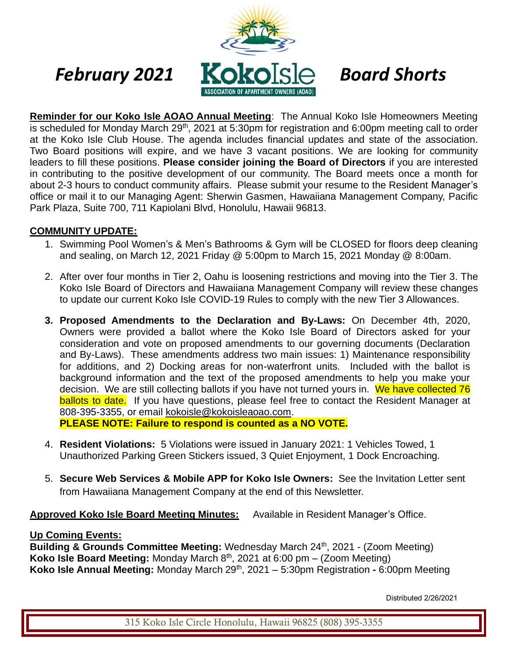

**Reminder for our Koko Isle AOAO Annual Meeting**: The Annual Koko Isle Homeowners Meeting is scheduled for Monday March 29<sup>th</sup>, 2021 at 5:30pm for registration and 6:00pm meeting call to order at the Koko Isle Club House. The agenda includes financial updates and state of the association. Two Board positions will expire, and we have 3 vacant positions. We are looking for community leaders to fill these positions. **Please consider joining the Board of Directors** if you are interested in contributing to the positive development of our community. The Board meets once a month for about 2-3 hours to conduct community affairs. Please submit your resume to the Resident Manager's office or mail it to our Managing Agent: Sherwin Gasmen, Hawaiiana Management Company, Pacific Park Plaza, Suite 700, 711 Kapiolani Blvd, Honolulu, Hawaii 96813.

## **COMMUNITY UPDATE:**

- 1. Swimming Pool Women's & Men's Bathrooms & Gym will be CLOSED for floors deep cleaning and sealing, on March 12, 2021 Friday @ 5:00pm to March 15, 2021 Monday @ 8:00am.
- 2. After over four months in Tier 2, Oahu is loosening restrictions and moving into the Tier 3. The Koko Isle Board of Directors and Hawaiiana Management Company will review these changes to update our current Koko Isle COVID-19 Rules to comply with the new Tier 3 Allowances.
- **3. Proposed Amendments to the Declaration and By-Laws:** On December 4th, 2020, Owners were provided a ballot where the Koko Isle Board of Directors asked for your consideration and vote on proposed amendments to our governing documents (Declaration and By-Laws). These amendments address two main issues: 1) Maintenance responsibility for additions, and 2) Docking areas for non-waterfront units. Included with the ballot is background information and the text of the proposed amendments to help you make your decision. We are still collecting ballots if you have not turned yours in. We have collected 76 ballots to date. If you have questions, please feel free to contact the Resident Manager at 808-395-3355, or email [kokoisle@kokoisleaoao.com.](mailto:kokoisle@kokoisleaoao.com)

**PLEASE NOTE: Failure to respond is counted as a NO VOTE.**

- 4. **Resident Violations:** 5 Violations were issued in January 2021: 1 Vehicles Towed, 1 Unauthorized Parking Green Stickers issued, 3 Quiet Enjoyment, 1 Dock Encroaching.
- 5. **Secure Web Services & Mobile APP for Koko Isle Owners:** See the Invitation Letter sent from Hawaiiana Management Company at the end of this Newsletter.

**Approved Koko Isle Board Meeting Minutes:** Available in Resident Manager's Office.

## **Up Coming Events:**

**Building & Grounds Committee Meeting:** Wednesday March 24<sup>th</sup>, 2021 - (Zoom Meeting) **Koko Isle Board Meeting:** Monday March 8th, 2021 at 6:00 pm – (Zoom Meeting) **Koko Isle Annual Meeting:** Monday March 29th, 2021 – 5:30pm Registration **-** 6:00pm Meeting

Distributed 2/26/2021

315 Koko Isle Circle Honolulu, Hawaii 96825 (808) 395-3355